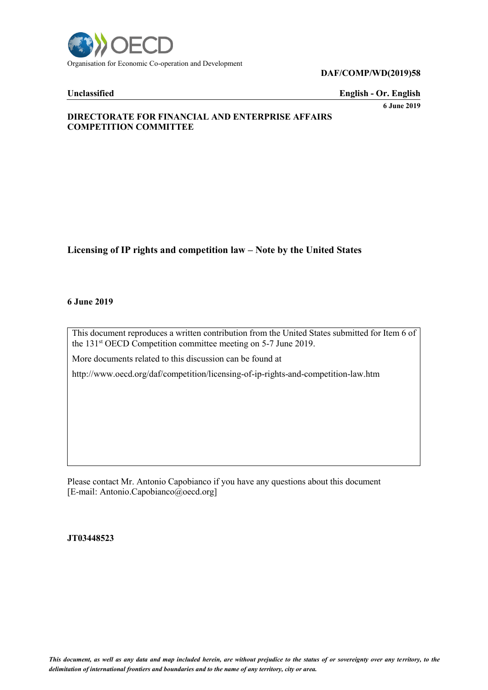

**DAF/COMP/WD(2019)58**

**Unclassified English - Or. English**

**6 June 2019**

# **DIRECTORATE FOR FINANCIAL AND ENTERPRISE AFFAIRS COMPETITION COMMITTEE**

# **Licensing of IP rights and competition law – Note by the United States**

### **6 June 2019**

This document reproduces a written contribution from the United States submitted for Item 6 of the 131 st OECD Competition committee meeting on 5-7 June 2019.

More documents related to this discussion can be found at

http://www.oecd.org/daf/competition/licensing-of-ip-rights-and-competition-law.htm

Please contact Mr. Antonio Capobianco if you have any questions about this document [E-mail: Antonio.Capobianco@oecd.org]

**JT03448523**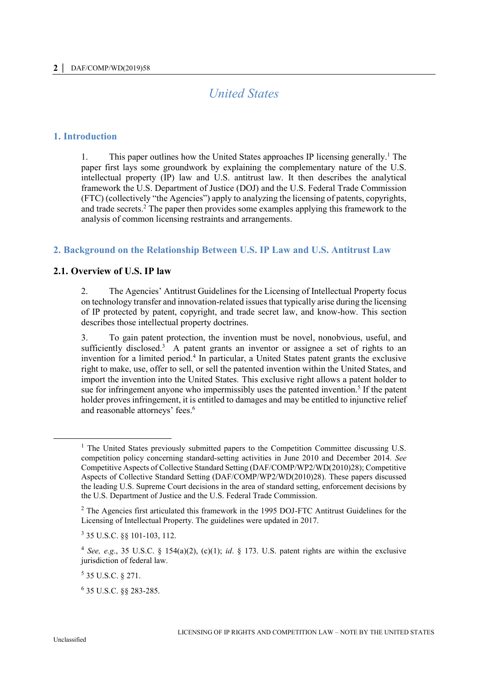# *United States*

# **1. Introduction**

1. This paper outlines how the United States approaches IP licensing generally.<sup>1</sup> The paper first lays some groundwork by explaining the complementary nature of the U.S. intellectual property (IP) law and U.S. antitrust law. It then describes the analytical framework the U.S. Department of Justice (DOJ) and the U.S. Federal Trade Commission (FTC) (collectively "the Agencies") apply to analyzing the licensing of patents, copyrights, and trade secrets.<sup>2</sup> The paper then provides some examples applying this framework to the analysis of common licensing restraints and arrangements.

# **2. Background on the Relationship Between U.S. IP Law and U.S. Antitrust Law**

# **2.1. Overview of U.S. IP law**

2. The Agencies' Antitrust Guidelines for the Licensing of Intellectual Property focus on technology transfer and innovation-related issues that typically arise during the licensing of IP protected by patent, copyright, and trade secret law, and know-how. This section describes those intellectual property doctrines.

3. To gain patent protection, the invention must be novel, nonobvious, useful, and sufficiently disclosed.<sup>3</sup> A patent grants an inventor or assignee a set of rights to an invention for a limited period.<sup>4</sup> In particular, a United States patent grants the exclusive right to make, use, offer to sell, or sell the patented invention within the United States, and import the invention into the United States. This exclusive right allows a patent holder to sue for infringement anyone who impermissibly uses the patented invention.<sup>5</sup> If the patent holder proves infringement, it is entitled to damages and may be entitled to injunctive relief and reasonable attorneys' fees.<sup>6</sup>

<sup>&</sup>lt;sup>1</sup> The United States previously submitted papers to the Competition Committee discussing U.S. competition policy concerning standard-setting activities in June 2010 and December 2014. *See* Competitive Aspects of Collective Standard Setting (DAF/COMP/WP2/WD(2010)28); Competitive Aspects of Collective Standard Setting (DAF/COMP/WP2/WD(2010)28). These papers discussed the leading U.S. Supreme Court decisions in the area of standard setting, enforcement decisions by the U.S. Department of Justice and the U.S. Federal Trade Commission.

 $2$  The Agencies first articulated this framework in the 1995 DOJ-FTC Antitrust Guidelines for the Licensing of Intellectual Property. The guidelines were updated in 2017.

<sup>3</sup> 35 U.S.C. §§ 101-103, 112.

<sup>4</sup> *See, e.g*., 35 U.S.C. § 154(a)(2), (c)(1); *id*. § 173. U.S. patent rights are within the exclusive jurisdiction of federal law.

<sup>5</sup> 35 U.S.C. § 271.

<sup>6</sup> 35 U.S.C. §§ 283-285.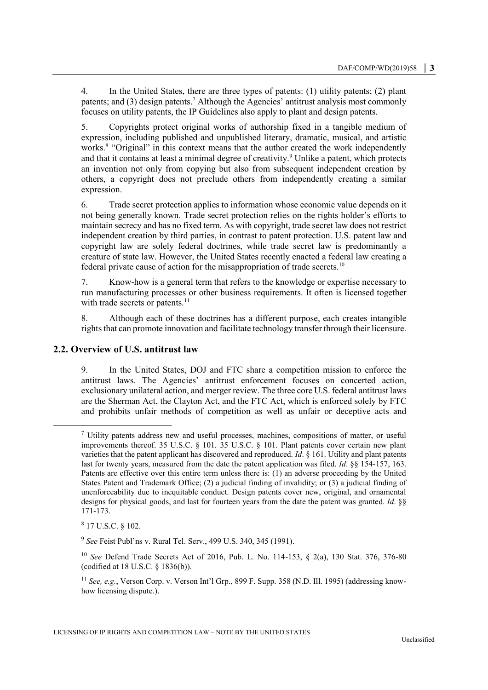4. In the United States, there are three types of patents: (1) utility patents; (2) plant patents; and (3) design patents.<sup>7</sup> Although the Agencies' antitrust analysis most commonly focuses on utility patents, the IP Guidelines also apply to plant and design patents.

5. Copyrights protect original works of authorship fixed in a tangible medium of expression, including published and unpublished literary, dramatic, musical, and artistic works.<sup>8</sup> "Original" in this context means that the author created the work independently and that it contains at least a minimal degree of creativity.<sup>9</sup> Unlike a patent, which protects an invention not only from copying but also from subsequent independent creation by others, a copyright does not preclude others from independently creating a similar expression.

6. Trade secret protection applies to information whose economic value depends on it not being generally known. Trade secret protection relies on the rights holder's efforts to maintain secrecy and has no fixed term. As with copyright, trade secret law does not restrict independent creation by third parties, in contrast to patent protection. U.S. patent law and copyright law are solely federal doctrines, while trade secret law is predominantly a creature of state law. However, the United States recently enacted a federal law creating a federal private cause of action for the misappropriation of trade secrets.<sup>10</sup>

7. Know-how is a general term that refers to the knowledge or expertise necessary to run manufacturing processes or other business requirements. It often is licensed together with trade secrets or patents.<sup>11</sup>

8. Although each of these doctrines has a different purpose, each creates intangible rights that can promote innovation and facilitate technology transfer through their licensure.

# **2.2. Overview of U.S. antitrust law**

9. In the United States, DOJ and FTC share a competition mission to enforce the antitrust laws. The Agencies' antitrust enforcement focuses on concerted action, exclusionary unilateral action, and merger review. The three core U.S. federal antitrust laws are the Sherman Act, the Clayton Act, and the FTC Act, which is enforced solely by FTC and prohibits unfair methods of competition as well as unfair or deceptive acts and

 $8$  17 U.S.C.  $\S$  102.

 $<sup>7</sup>$  Utility patents address new and useful processes, machines, compositions of matter, or useful</sup> improvements thereof. 35 U.S.C. § 101. 35 U.S.C. § 101. Plant patents cover certain new plant varieties that the patent applicant has discovered and reproduced. *Id*. § 161. Utility and plant patents last for twenty years, measured from the date the patent application was filed. *Id*. §§ 154-157, 163. Patents are effective over this entire term unless there is: (1) an adverse proceeding by the United States Patent and Trademark Office; (2) a judicial finding of invalidity; or (3) a judicial finding of unenforceability due to inequitable conduct. Design patents cover new, original, and ornamental designs for physical goods, and last for fourteen years from the date the patent was granted. *Id*. §§ 171-173.

<sup>9</sup> *See* Feist Publ'ns v. Rural Tel. Serv., 499 U.S. 340, 345 (1991).

<sup>10</sup> *See* Defend Trade Secrets Act of 2016, Pub. L. No. 114-153, § 2(a), 130 Stat. 376, 376-80 (codified at 18 U.S.C. § 1836(b)).

<sup>11</sup> *See, e.g.*, Verson Corp. v. Verson Int'l Grp., 899 F. Supp. 358 (N.D. Ill. 1995) (addressing knowhow licensing dispute.).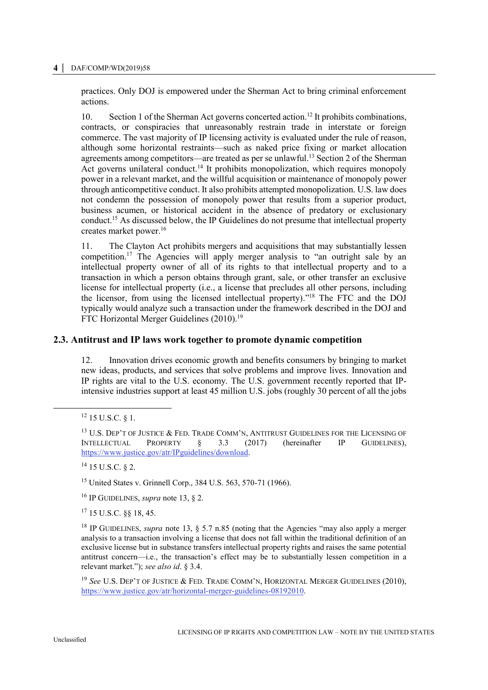#### **4 │** DAF/COMP/WD(2019)58

practices. Only DOJ is empowered under the Sherman Act to bring criminal enforcement actions.

<span id="page-3-0"></span>10. Section 1 of the Sherman Act governs concerted action.<sup>12</sup> It prohibits combinations, contracts, or conspiracies that unreasonably restrain trade in interstate or foreign commerce. The vast majority of IP licensing activity is evaluated under the rule of reason, although some horizontal restraints—such as naked price fixing or market allocation agreements among competitors—are treated as per se unlawful.<sup>13</sup> Section 2 of the Sherman Act governs unilateral conduct.<sup>14</sup> It prohibits monopolization, which requires monopoly power in a relevant market, and the willful acquisition or maintenance of monopoly power through anticompetitive conduct. It also prohibits attempted monopolization. U.S. law does not condemn the possession of monopoly power that results from a superior product, business acumen, or historical accident in the absence of predatory or exclusionary conduct. <sup>15</sup> As discussed below, the IP Guidelines do not presume that intellectual property creates market power.<sup>16</sup>

11. The Clayton Act prohibits mergers and acquisitions that may substantially lessen competition.<sup>17</sup> The Agencies will apply merger analysis to "an outright sale by an intellectual property owner of all of its rights to that intellectual property and to a transaction in which a person obtains through grant, sale, or other transfer an exclusive license for intellectual property (i.e., a license that precludes all other persons, including the licensor, from using the licensed intellectual property)." <sup>18</sup> The FTC and the DOJ typically would analyze such a transaction under the framework described in the DOJ and FTC Horizontal Merger Guidelines (2010).<sup>19</sup>

# **2.3. Antitrust and IP laws work together to promote dynamic competition**

12. Innovation drives economic growth and benefits consumers by bringing to market new ideas, products, and services that solve problems and improve lives. Innovation and IP rights are vital to the U.S. economy. The U.S. government recently reported that IPintensive industries support at least 45 million U.S. jobs (roughly 30 percent of all the jobs

 $\ddot{\phantom{a}}$ 

 $14$  15 U.S.C. § 2.

<sup>15</sup> United States v. Grinnell Corp., 384 U.S. 563, 570-71 (1966).

<sup>16</sup> IP GUIDELINES, *supra* note [13,](#page-3-0) § 2.

<sup>17</sup> 15 U.S.C. §§ 18, 45.

<sup>18</sup> IP GUIDELINES, *supra* note [13,](#page-3-0) § 5.7 n.85 (noting that the Agencies "may also apply a merger analysis to a transaction involving a license that does not fall within the traditional definition of an exclusive license but in substance transfers intellectual property rights and raises the same potential antitrust concern—i.e., the transaction's effect may be to substantially lessen competition in a relevant market."); *see also id*. § 3.4.

<sup>19</sup> *See* U.S. DEP'T OF JUSTICE & FED. TRADE COMM'N, HORIZONTAL MERGER GUIDELINES (2010), [https://www.justice.gov/atr/horizontal-merger-guidelines-08192010.](https://www.justice.gov/atr/horizontal-merger-guidelines-08192010)

 $12$  15 U.S.C. § 1.

<sup>&</sup>lt;sup>13</sup> U.S. DEP'T OF JUSTICE & FED. TRADE COMM'N, ANTITRUST GUIDELINES FOR THE LICENSING OF INTELLECTUAL PROPERTY § 3.3 (2017) (hereinafter IP GUIDELINES), [https://www.justice.gov/atr/IPguidelines/download.](https://www.justice.gov/atr/IPguidelines/download)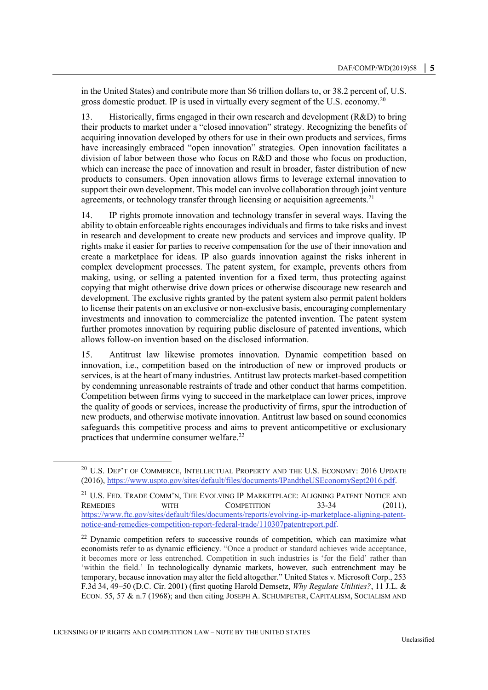in the United States) and contribute more than \$6 trillion dollars to, or 38.2 percent of, U.S. gross domestic product. IP is used in virtually every segment of the U.S. economy.<sup>20</sup>

13. Historically, firms engaged in their own research and development (R&D) to bring their products to market under a "closed innovation" strategy. Recognizing the benefits of acquiring innovation developed by others for use in their own products and services, firms have increasingly embraced "open innovation" strategies. Open innovation facilitates a division of labor between those who focus on R&D and those who focus on production, which can increase the pace of innovation and result in broader, faster distribution of new products to consumers. Open innovation allows firms to leverage external innovation to support their own development. This model can involve collaboration through joint venture agreements, or technology transfer through licensing or acquisition agreements.<sup>21</sup>

14. IP rights promote innovation and technology transfer in several ways. Having the ability to obtain enforceable rights encourages individuals and firms to take risks and invest in research and development to create new products and services and improve quality. IP rights make it easier for parties to receive compensation for the use of their innovation and create a marketplace for ideas. IP also guards innovation against the risks inherent in complex development processes. The patent system, for example, prevents others from making, using, or selling a patented invention for a fixed term, thus protecting against copying that might otherwise drive down prices or otherwise discourage new research and development. The exclusive rights granted by the patent system also permit patent holders to license their patents on an exclusive or non-exclusive basis, encouraging complementary investments and innovation to commercialize the patented invention. The patent system further promotes innovation by requiring public disclosure of patented inventions, which allows follow-on invention based on the disclosed information.

15. Antitrust law likewise promotes innovation. Dynamic competition based on innovation, i.e., competition based on the introduction of new or improved products or services, is at the heart of many industries. Antitrust law protects market-based competition by condemning unreasonable restraints of trade and other conduct that harms competition. Competition between firms vying to succeed in the marketplace can lower prices, improve the quality of goods or services, increase the productivity of firms, spur the introduction of new products, and otherwise motivate innovation. Antitrust law based on sound economics safeguards this competitive process and aims to prevent anticompetitive or exclusionary practices that undermine consumer welfare.<sup>22</sup>

 $^{20}$  U.S. DEP'T OF COMMERCE, INTELLECTUAL PROPERTY AND THE U.S. ECONOMY: 2016 UPDATE (2016), [https://www.uspto.gov/sites/default/files/documents/IPandtheUSEconomySept2016.pdf.](https://www.uspto.gov/sites/default/files/documents/IPandtheUSEconomySept2016.pdf)

 $^{21}$  U.S. Fed. Trade COMM'N, The EVOLVING IP MARKETPLACE: ALIGNING PATENT NOTICE AND REMEDIES WITH COMPETITION 33-34 (2011), [https://www.ftc.gov/sites/default/files/documents/reports/evolving-ip-marketplace-aligning-patent](https://www.ftc.gov/sites/default/files/documents/reports/evolving-ip-marketplace-aligning-patent-notice-and-remedies-competition-report-federal-trade/110307patentreport.pdf)[notice-and-remedies-competition-report-federal-trade/110307patentreport.pdf.](https://www.ftc.gov/sites/default/files/documents/reports/evolving-ip-marketplace-aligning-patent-notice-and-remedies-competition-report-federal-trade/110307patentreport.pdf)

 $22$  Dynamic competition refers to successive rounds of competition, which can maximize what economists refer to as dynamic efficiency. "Once a product or standard achieves wide acceptance, it becomes more or less entrenched. Competition in such industries is 'for the field' rather than 'within the field.' In technologically dynamic markets, however, such entrenchment may be temporary, because innovation may alter the field altogether." United States v. Microsoft Corp., 253 F.3d 34, 49–50 (D.C. Cir. 2001) (first quoting Harold Demsetz, *Why Regulate Utilities?*, 11 J.L. & ECON. 55, 57 & n.7 (1968); and then citing JOSEPH A. SCHUMPETER, CAPITALISM, SOCIALISM AND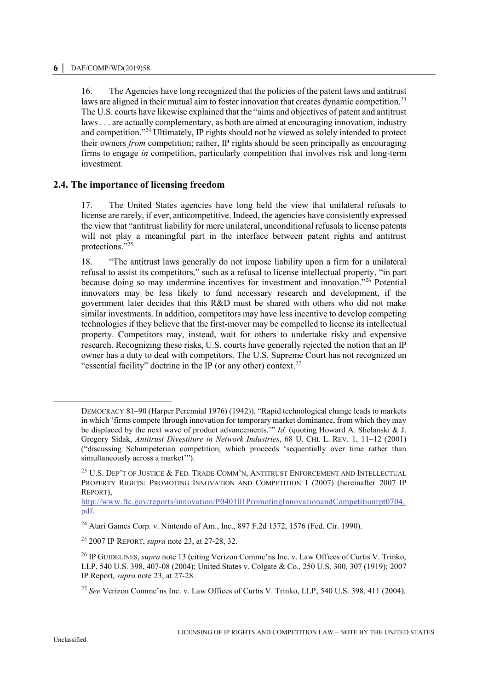<span id="page-5-0"></span>16. The Agencies have long recognized that the policies of the patent laws and antitrust laws are aligned in their mutual aim to foster innovation that creates dynamic competition.<sup>23</sup> The U.S. courts have likewise explained that the "aims and objectives of patent and antitrust laws . . . are actually complementary, as both are aimed at encouraging innovation, industry and competition."<sup>24</sup> Ultimately, IP rights should not be viewed as solely intended to protect their owners *from* competition; rather, IP rights should be seen principally as encouraging firms to engage *in* competition, particularly competition that involves risk and long-term investment.

# **2.4. The importance of licensing freedom**

17. The United States agencies have long held the view that unilateral refusals to license are rarely, if ever, anticompetitive. Indeed, the agencies have consistently expressed the view that "antitrust liability for mere unilateral, unconditional refusals to license patents will not play a meaningful part in the interface between patent rights and antitrust protections."25

18. "The antitrust laws generally do not impose liability upon a firm for a unilateral refusal to assist its competitors," such as a refusal to license intellectual property, "in part because doing so may undermine incentives for investment and innovation."<sup>26</sup> Potential innovators may be less likely to fund necessary research and development, if the government later decides that this R&D must be shared with others who did not make similar investments. In addition, competitors may have less incentive to develop competing technologies if they believe that the first-mover may be compelled to license its intellectual property. Competitors may, instead, wait for others to undertake risky and expensive research. Recognizing these risks, U.S. courts have generally rejected the notion that an IP owner has a duty to deal with competitors. The U.S. Supreme Court has not recognized an "essential facility" doctrine in the IP (or any other) context.<sup>27</sup>

DEMOCRACY 81–90 (Harper Perennial 1976) (1942)). "Rapid technological change leads to markets in which 'firms compete through innovation for temporary market dominance, from which they may be displaced by the next wave of product advancements.'" *Id.* (quoting Howard A. Shelanski & J. Gregory Sidak, *Antitrust Divestiture in Network Industries*, 68 U. CHI. L. REV. 1, 11–12 (2001) ("discussing Schumpeterian competition, which proceeds 'sequentially over time rather than simultaneously across a market"").

<sup>23</sup> U.S. DEP'T OF JUSTICE & FED. TRADE COMM'N, ANTITRUST ENFORCEMENT AND INTELLECTUAL PROPERTY RIGHTS: PROMOTING INNOVATION AND COMPETITION 1 (2007) (hereinafter 2007 IP REPORT),

[http://www.ftc.gov/reports/innovation/P040101PromotingInnovationandCompetitionrpt0704.](http://www.ftc.gov/reports/innovation/P040101PromotingInnovationandCompetitionrpt0704.pdf) [pdf.](http://www.ftc.gov/reports/innovation/P040101PromotingInnovationandCompetitionrpt0704.pdf) 

<sup>24</sup> Atari Games Corp. v. Nintendo of Am., Inc., 897 F.2d 1572, 1576 (Fed. Cir. 1990).

<sup>25</sup> 2007 IP REPORT, *supra* note [23,](#page-5-0) at 27-28, 32.

<sup>&</sup>lt;sup>26</sup> IP GUIDELINES, *supra* note [13](#page-3-0) (citing Verizon Comme'ns Inc. v. Law Offices of Curtis V. Trinko, LLP, 540 U.S. 398, 407-08 (2004); United States v. Colgate & Co., 250 U.S. 300, 307 (1919); 2007 IP Report, *supra* note [23,](#page-5-0) at 27-28.

<sup>27</sup> *See* Verizon Commc'ns Inc. v. Law Offices of Curtis V. Trinko, LLP, 540 U.S. 398, 411 (2004).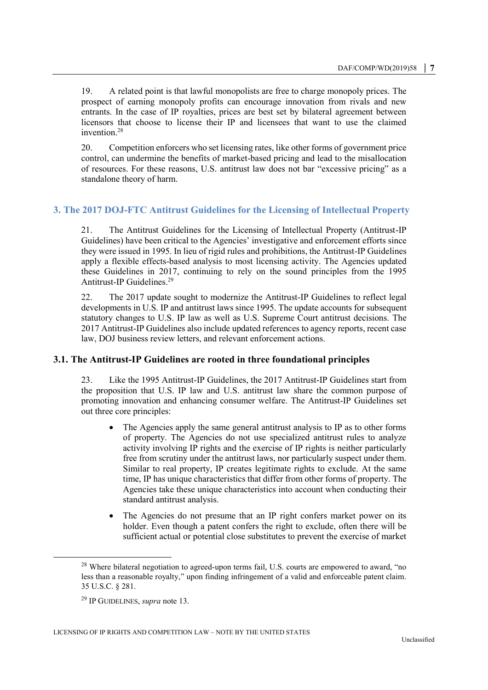19. A related point is that lawful monopolists are free to charge monopoly prices. The prospect of earning monopoly profits can encourage innovation from rivals and new entrants. In the case of IP royalties, prices are best set by bilateral agreement between licensors that choose to license their IP and licensees that want to use the claimed invention.<sup>28</sup>

20. Competition enforcers who set licensing rates, like other forms of government price control, can undermine the benefits of market-based pricing and lead to the misallocation of resources. For these reasons, U.S. antitrust law does not bar "excessive pricing" as a standalone theory of harm.

# **3. The 2017 DOJ-FTC Antitrust Guidelines for the Licensing of Intellectual Property**

21. The Antitrust Guidelines for the Licensing of Intellectual Property (Antitrust-IP Guidelines) have been critical to the Agencies' investigative and enforcement efforts since they were issued in 1995. In lieu of rigid rules and prohibitions, the Antitrust-IP Guidelines apply a flexible effects-based analysis to most licensing activity. The Agencies updated these Guidelines in 2017, continuing to rely on the sound principles from the 1995 Antitrust-IP Guidelines.<sup>29</sup>

22. The 2017 update sought to modernize the Antitrust-IP Guidelines to reflect legal developments in U.S. IP and antitrust laws since 1995. The update accounts for subsequent statutory changes to U.S. IP law as well as U.S. Supreme Court antitrust decisions. The 2017 Antitrust-IP Guidelines also include updated references to agency reports, recent case law, DOJ business review letters, and relevant enforcement actions.

### **3.1. The Antitrust-IP Guidelines are rooted in three foundational principles**

23. Like the 1995 Antitrust-IP Guidelines, the 2017 Antitrust-IP Guidelines start from the proposition that U.S. IP law and U.S. antitrust law share the common purpose of promoting innovation and enhancing consumer welfare. The Antitrust-IP Guidelines set out three core principles:

- The Agencies apply the same general antitrust analysis to IP as to other forms of property. The Agencies do not use specialized antitrust rules to analyze activity involving IP rights and the exercise of IP rights is neither particularly free from scrutiny under the antitrust laws, nor particularly suspect under them. Similar to real property, IP creates legitimate rights to exclude. At the same time, IP has unique characteristics that differ from other forms of property. The Agencies take these unique characteristics into account when conducting their standard antitrust analysis.
- The Agencies do not presume that an IP right confers market power on its holder. Even though a patent confers the right to exclude, often there will be sufficient actual or potential close substitutes to prevent the exercise of market

 $28$  Where bilateral negotiation to agreed-upon terms fail, U.S. courts are empowered to award, "no less than a reasonable royalty," upon finding infringement of a valid and enforceable patent claim. 35 U.S.C. § 281.

<sup>29</sup> IP GUIDELINES, *supra* note [13.](#page-3-0)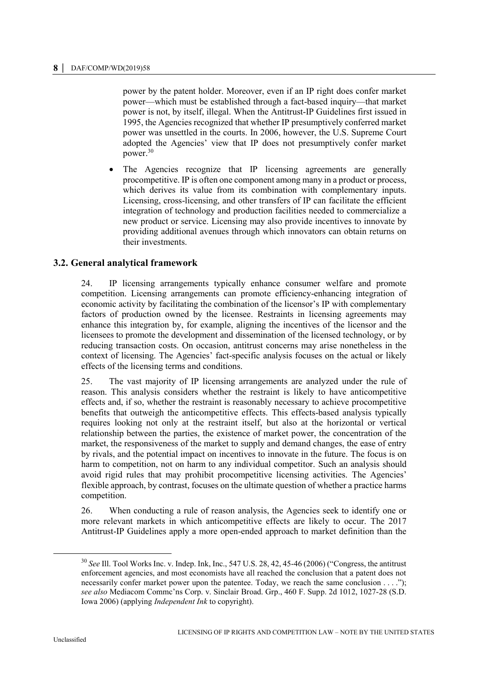power by the patent holder. Moreover, even if an IP right does confer market power—which must be established through a fact-based inquiry—that market power is not, by itself, illegal. When the Antitrust-IP Guidelines first issued in 1995, the Agencies recognized that whether IP presumptively conferred market power was unsettled in the courts. In 2006, however, the U.S. Supreme Court adopted the Agencies' view that IP does not presumptively confer market power.<sup>30</sup>

 The Agencies recognize that IP licensing agreements are generally procompetitive. IP is often one component among many in a product or process, which derives its value from its combination with complementary inputs. Licensing, cross-licensing, and other transfers of IP can facilitate the efficient integration of technology and production facilities needed to commercialize a new product or service. Licensing may also provide incentives to innovate by providing additional avenues through which innovators can obtain returns on their investments.

# **3.2. General analytical framework**

24. IP licensing arrangements typically enhance consumer welfare and promote competition. Licensing arrangements can promote efficiency-enhancing integration of economic activity by facilitating the combination of the licensor's IP with complementary factors of production owned by the licensee. Restraints in licensing agreements may enhance this integration by, for example, aligning the incentives of the licensor and the licensees to promote the development and dissemination of the licensed technology, or by reducing transaction costs. On occasion, antitrust concerns may arise nonetheless in the context of licensing. The Agencies' fact-specific analysis focuses on the actual or likely effects of the licensing terms and conditions.

25. The vast majority of IP licensing arrangements are analyzed under the rule of reason. This analysis considers whether the restraint is likely to have anticompetitive effects and, if so, whether the restraint is reasonably necessary to achieve procompetitive benefits that outweigh the anticompetitive effects. This effects-based analysis typically requires looking not only at the restraint itself, but also at the horizontal or vertical relationship between the parties, the existence of market power, the concentration of the market, the responsiveness of the market to supply and demand changes, the ease of entry by rivals, and the potential impact on incentives to innovate in the future. The focus is on harm to competition, not on harm to any individual competitor. Such an analysis should avoid rigid rules that may prohibit procompetitive licensing activities. The Agencies' flexible approach, by contrast, focuses on the ultimate question of whether a practice harms competition.

26. When conducting a rule of reason analysis, the Agencies seek to identify one or more relevant markets in which anticompetitive effects are likely to occur. The 2017 Antitrust-IP Guidelines apply a more open-ended approach to market definition than the

<sup>30</sup> *See* Ill. Tool Works Inc. v. Indep. Ink, Inc., 547 U.S. 28, 42, 45-46 (2006) ("Congress, the antitrust enforcement agencies, and most economists have all reached the conclusion that a patent does not necessarily confer market power upon the patentee. Today, we reach the same conclusion . . . ."); *see also* Mediacom Commc'ns Corp. v. Sinclair Broad. Grp., 460 F. Supp. 2d 1012, 1027-28 (S.D. Iowa 2006) (applying *Independent Ink* to copyright).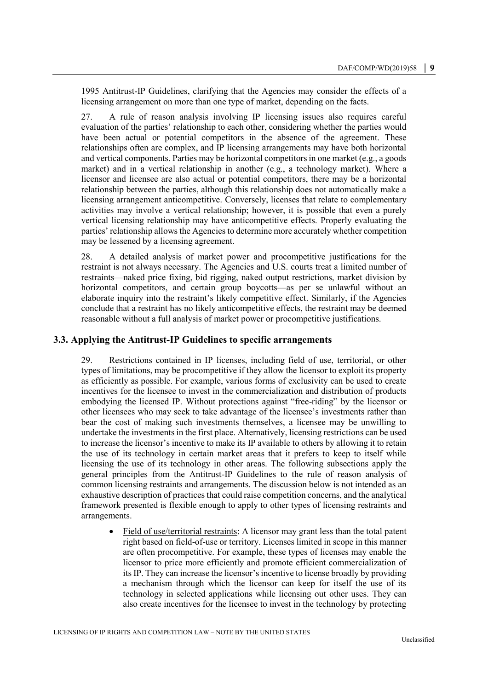1995 Antitrust-IP Guidelines, clarifying that the Agencies may consider the effects of a licensing arrangement on more than one type of market, depending on the facts.

27. A rule of reason analysis involving IP licensing issues also requires careful evaluation of the parties' relationship to each other, considering whether the parties would have been actual or potential competitors in the absence of the agreement. These relationships often are complex, and IP licensing arrangements may have both horizontal and vertical components. Parties may be horizontal competitors in one market (e.g., a goods market) and in a vertical relationship in another (e.g., a technology market). Where a licensor and licensee are also actual or potential competitors, there may be a horizontal relationship between the parties, although this relationship does not automatically make a licensing arrangement anticompetitive. Conversely, licenses that relate to complementary activities may involve a vertical relationship; however, it is possible that even a purely vertical licensing relationship may have anticompetitive effects. Properly evaluating the parties' relationship allows the Agencies to determine more accurately whether competition may be lessened by a licensing agreement.

28. A detailed analysis of market power and procompetitive justifications for the restraint is not always necessary. The Agencies and U.S. courts treat a limited number of restraints—naked price fixing, bid rigging, naked output restrictions, market division by horizontal competitors, and certain group boycotts—as per se unlawful without an elaborate inquiry into the restraint's likely competitive effect. Similarly, if the Agencies conclude that a restraint has no likely anticompetitive effects, the restraint may be deemed reasonable without a full analysis of market power or procompetitive justifications.

# **3.3. Applying the Antitrust-IP Guidelines to specific arrangements**

29. Restrictions contained in IP licenses, including field of use, territorial, or other types of limitations, may be procompetitive if they allow the licensor to exploit its property as efficiently as possible. For example, various forms of exclusivity can be used to create incentives for the licensee to invest in the commercialization and distribution of products embodying the licensed IP. Without protections against "free-riding" by the licensor or other licensees who may seek to take advantage of the licensee's investments rather than bear the cost of making such investments themselves, a licensee may be unwilling to undertake the investments in the first place. Alternatively, licensing restrictions can be used to increase the licensor's incentive to make its IP available to others by allowing it to retain the use of its technology in certain market areas that it prefers to keep to itself while licensing the use of its technology in other areas. The following subsections apply the general principles from the Antitrust-IP Guidelines to the rule of reason analysis of common licensing restraints and arrangements. The discussion below is not intended as an exhaustive description of practices that could raise competition concerns, and the analytical framework presented is flexible enough to apply to other types of licensing restraints and arrangements.

 Field of use/territorial restraints: A licensor may grant less than the total patent right based on field-of-use or territory. Licenses limited in scope in this manner are often procompetitive. For example, these types of licenses may enable the licensor to price more efficiently and promote efficient commercialization of its IP. They can increase the licensor's incentive to license broadly by providing a mechanism through which the licensor can keep for itself the use of its technology in selected applications while licensing out other uses. They can also create incentives for the licensee to invest in the technology by protecting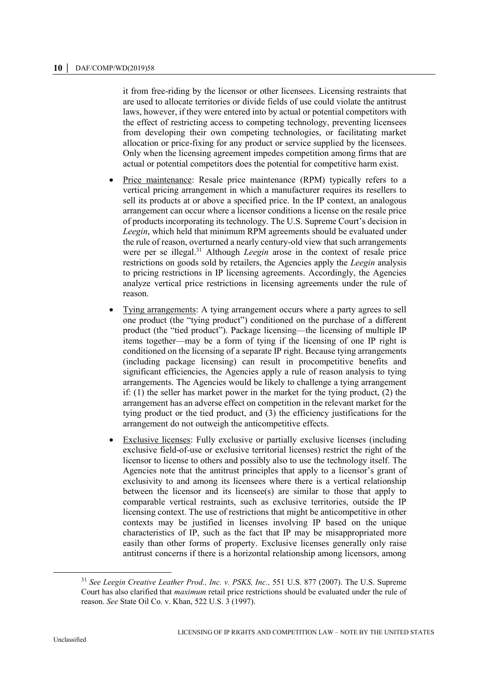it from free-riding by the licensor or other licensees. Licensing restraints that are used to allocate territories or divide fields of use could violate the antitrust laws, however, if they were entered into by actual or potential competitors with the effect of restricting access to competing technology, preventing licensees from developing their own competing technologies, or facilitating market allocation or price-fixing for any product or service supplied by the licensees. Only when the licensing agreement impedes competition among firms that are actual or potential competitors does the potential for competitive harm exist.

- Price maintenance: Resale price maintenance (RPM) typically refers to a vertical pricing arrangement in which a manufacturer requires its resellers to sell its products at or above a specified price. In the IP context, an analogous arrangement can occur where a licensor conditions a license on the resale price of products incorporating its technology. The U.S. Supreme Court's decision in *Leegin*, which held that minimum RPM agreements should be evaluated under the rule of reason, overturned a nearly century-old view that such arrangements were per se illegal.<sup>31</sup> Although *Leegin* arose in the context of resale price restrictions on goods sold by retailers, the Agencies apply the *Leegin* analysis to pricing restrictions in IP licensing agreements. Accordingly, the Agencies analyze vertical price restrictions in licensing agreements under the rule of reason.
- Tying arrangements: A tying arrangement occurs where a party agrees to sell one product (the "tying product") conditioned on the purchase of a different product (the "tied product"). Package licensing—the licensing of multiple IP items together—may be a form of tying if the licensing of one IP right is conditioned on the licensing of a separate IP right. Because tying arrangements (including package licensing) can result in procompetitive benefits and significant efficiencies, the Agencies apply a rule of reason analysis to tying arrangements. The Agencies would be likely to challenge a tying arrangement if: (1) the seller has market power in the market for the tying product, (2) the arrangement has an adverse effect on competition in the relevant market for the tying product or the tied product, and (3) the efficiency justifications for the arrangement do not outweigh the anticompetitive effects.
- Exclusive licenses: Fully exclusive or partially exclusive licenses (including exclusive field-of-use or exclusive territorial licenses) restrict the right of the licensor to license to others and possibly also to use the technology itself. The Agencies note that the antitrust principles that apply to a licensor's grant of exclusivity to and among its licensees where there is a vertical relationship between the licensor and its licensee(s) are similar to those that apply to comparable vertical restraints, such as exclusive territories, outside the IP licensing context. The use of restrictions that might be anticompetitive in other contexts may be justified in licenses involving IP based on the unique characteristics of IP, such as the fact that IP may be misappropriated more easily than other forms of property. Exclusive licenses generally only raise antitrust concerns if there is a horizontal relationship among licensors, among

<sup>31</sup> *See Leegin Creative Leather Prod., Inc. v. PSKS, Inc.,* 551 U.S. 877 (2007). The U.S. Supreme Court has also clarified that *maximum* retail price restrictions should be evaluated under the rule of reason. *See* State Oil Co. v. Khan, 522 U.S. 3 (1997).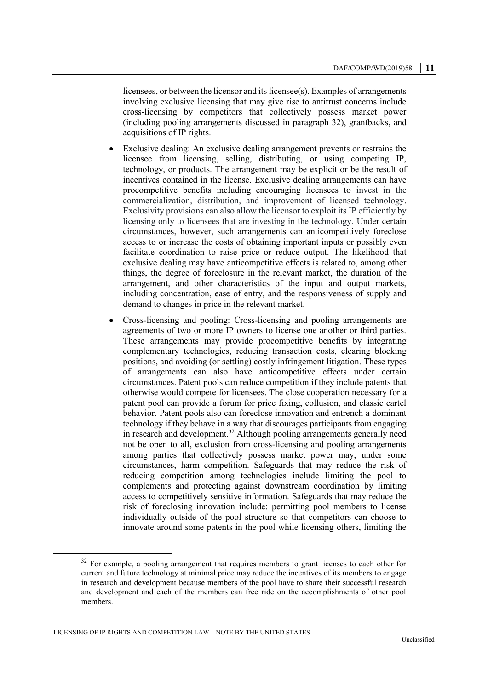licensees, or between the licensor and its licensee(s). Examples of arrangements involving exclusive licensing that may give rise to antitrust concerns include cross-licensing by competitors that collectively possess market power (including pooling arrangements discussed in paragraph 32), grantbacks, and acquisitions of IP rights.

- Exclusive dealing: An exclusive dealing arrangement prevents or restrains the licensee from licensing, selling, distributing, or using competing IP, technology, or products. The arrangement may be explicit or be the result of incentives contained in the license. Exclusive dealing arrangements can have procompetitive benefits including encouraging licensees to invest in the commercialization, distribution, and improvement of licensed technology. Exclusivity provisions can also allow the licensor to exploit its IP efficiently by licensing only to licensees that are investing in the technology. Under certain circumstances, however, such arrangements can anticompetitively foreclose access to or increase the costs of obtaining important inputs or possibly even facilitate coordination to raise price or reduce output. The likelihood that exclusive dealing may have anticompetitive effects is related to, among other things, the degree of foreclosure in the relevant market, the duration of the arrangement, and other characteristics of the input and output markets, including concentration, ease of entry, and the responsiveness of supply and demand to changes in price in the relevant market.
- Cross-licensing and pooling: Cross-licensing and pooling arrangements are agreements of two or more IP owners to license one another or third parties. These arrangements may provide procompetitive benefits by integrating complementary technologies, reducing transaction costs, clearing blocking positions, and avoiding (or settling) costly infringement litigation. These types of arrangements can also have anticompetitive effects under certain circumstances. Patent pools can reduce competition if they include patents that otherwise would compete for licensees. The close cooperation necessary for a patent pool can provide a forum for price fixing, collusion, and classic cartel behavior. Patent pools also can foreclose innovation and entrench a dominant technology if they behave in a way that discourages participants from engaging in research and development.<sup>32</sup> Although pooling arrangements generally need not be open to all, exclusion from cross-licensing and pooling arrangements among parties that collectively possess market power may, under some circumstances, harm competition. Safeguards that may reduce the risk of reducing competition among technologies include limiting the pool to complements and protecting against downstream coordination by limiting access to competitively sensitive information. Safeguards that may reduce the risk of foreclosing innovation include: permitting pool members to license individually outside of the pool structure so that competitors can choose to innovate around some patents in the pool while licensing others, limiting the

<sup>&</sup>lt;sup>32</sup> For example, a pooling arrangement that requires members to grant licenses to each other for current and future technology at minimal price may reduce the incentives of its members to engage in research and development because members of the pool have to share their successful research and development and each of the members can free ride on the accomplishments of other pool members.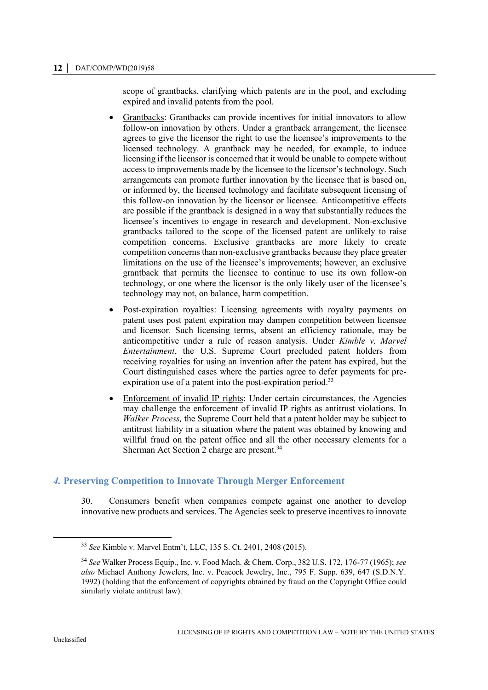scope of grantbacks, clarifying which patents are in the pool, and excluding expired and invalid patents from the pool.

- Grantbacks: Grantbacks can provide incentives for initial innovators to allow follow-on innovation by others. Under a grantback arrangement, the licensee agrees to give the licensor the right to use the licensee's improvements to the licensed technology. A grantback may be needed, for example, to induce licensing if the licensor is concerned that it would be unable to compete without access to improvements made by the licensee to the licensor's technology. Such arrangements can promote further innovation by the licensee that is based on, or informed by, the licensed technology and facilitate subsequent licensing of this follow-on innovation by the licensor or licensee. Anticompetitive effects are possible if the grantback is designed in a way that substantially reduces the licensee's incentives to engage in research and development. Non-exclusive grantbacks tailored to the scope of the licensed patent are unlikely to raise competition concerns. Exclusive grantbacks are more likely to create competition concerns than non-exclusive grantbacks because they place greater limitations on the use of the licensee's improvements; however, an exclusive grantback that permits the licensee to continue to use its own follow-on technology, or one where the licensor is the only likely user of the licensee's technology may not, on balance, harm competition.
- Post-expiration royalties: Licensing agreements with royalty payments on patent uses post patent expiration may dampen competition between licensee and licensor. Such licensing terms, absent an efficiency rationale, may be anticompetitive under a rule of reason analysis. Under *Kimble v. Marvel Entertainment*, the U.S. Supreme Court precluded patent holders from receiving royalties for using an invention after the patent has expired, but the Court distinguished cases where the parties agree to defer payments for preexpiration use of a patent into the post-expiration period.<sup>33</sup>
- Enforcement of invalid IP rights: Under certain circumstances, the Agencies may challenge the enforcement of invalid IP rights as antitrust violations. In *Walker Process,* the Supreme Court held that a patent holder may be subject to antitrust liability in a situation where the patent was obtained by knowing and willful fraud on the patent office and all the other necessary elements for a Sherman Act Section 2 charge are present.<sup>34</sup>

# *4.* **Preserving Competition to Innovate Through Merger Enforcement**

30. Consumers benefit when companies compete against one another to develop innovative new products and services. The Agencies seek to preserve incentives to innovate

<sup>33</sup> *See* Kimble v. Marvel Entm't, LLC, 135 S. Ct. 2401, 2408 (2015).

<sup>34</sup> *See* Walker Process Equip., Inc. v. Food Mach. & Chem. Corp., 382 U.S. 172, 176-77 (1965); *see also* Michael Anthony Jewelers, Inc. v. Peacock Jewelry, Inc., 795 F. Supp. 639, 647 (S.D.N.Y. 1992) (holding that the enforcement of copyrights obtained by fraud on the Copyright Office could similarly violate antitrust law).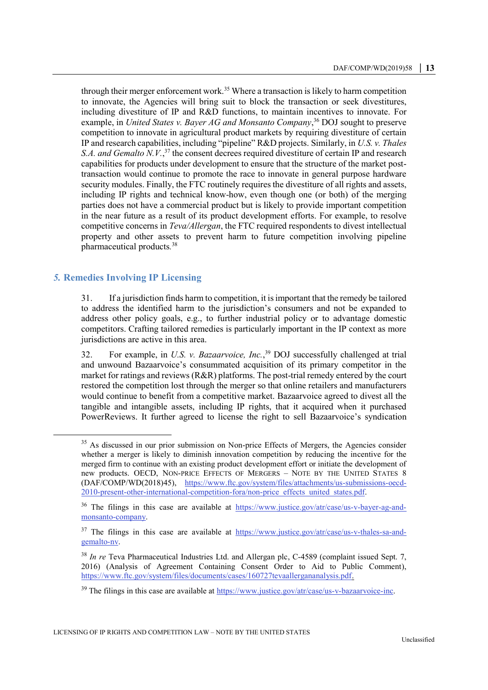through their merger enforcement work.<sup>35</sup> Where a transaction is likely to harm competition to innovate, the Agencies will bring suit to block the transaction or seek divestitures, including divestiture of IP and R&D functions, to maintain incentives to innovate. For example, in *United States v. Bayer AG and Monsanto Company*, <sup>36</sup> DOJ sought to preserve competition to innovate in agricultural product markets by requiring divestiture of certain IP and research capabilities, including "pipeline" R&D projects. Similarly, in *U.S. v. Thales*  S.A. and Gemalto N.V.,<sup>37</sup> the consent decrees required divestiture of certain IP and research capabilities for products under development to ensure that the structure of the market posttransaction would continue to promote the race to innovate in general purpose hardware security modules. Finally, the FTC routinely requires the divestiture of all rights and assets, including IP rights and technical know-how, even though one (or both) of the merging parties does not have a commercial product but is likely to provide important competition in the near future as a result of its product development efforts. For example, to resolve competitive concerns in *Teva/Allergan*, the FTC required respondents to divest intellectual property and other assets to prevent harm to future competition involving pipeline pharmaceutical products*.* 38

# *5.* **Remedies Involving IP Licensing**

 $\overline{a}$ 

31. If a jurisdiction finds harm to competition, it is important that the remedy be tailored to address the identified harm to the jurisdiction's consumers and not be expanded to address other policy goals, e.g., to further industrial policy or to advantage domestic competitors. Crafting tailored remedies is particularly important in the IP context as more jurisdictions are active in this area.

32. For example, in *U.S. v. Bazaarvoice, Inc.*, <sup>39</sup> DOJ successfully challenged at trial and unwound Bazaarvoice's consummated acquisition of its primary competitor in the market for ratings and reviews  $(R\&R)$  platforms. The post-trial remedy entered by the court restored the competition lost through the merger so that online retailers and manufacturers would continue to benefit from a competitive market. Bazaarvoice agreed to divest all the tangible and intangible assets, including IP rights, that it acquired when it purchased PowerReviews. It further agreed to license the right to sell Bazaarvoice's syndication

<sup>&</sup>lt;sup>35</sup> As discussed in our prior submission on Non-price Effects of Mergers, the Agencies consider whether a merger is likely to diminish innovation competition by reducing the incentive for the merged firm to continue with an existing product development effort or initiate the development of new products. OECD, NON-PRICE EFFECTS OF MERGERS – NOTE BY THE UNITED STATES 8 (DAF/COMP/WD(2018)45), [https://www.ftc.gov/system/files/attachments/us-submissions-oecd-](https://www.ftc.gov/system/files/attachments/us-submissions-oecd-2010-present-other-international-competition-fora/non-price_effects_united_states.pdf)[2010-present-other-international-competition-fora/non-price\\_effects\\_united\\_states.pdf.](https://www.ftc.gov/system/files/attachments/us-submissions-oecd-2010-present-other-international-competition-fora/non-price_effects_united_states.pdf)

<sup>36</sup> The filings in this case are available at [https://www.justice.gov/atr/case/us-v-bayer-ag-and](https://www.justice.gov/atr/case/us-v-bayer-ag-and-monsanto-company)[monsanto-company.](https://www.justice.gov/atr/case/us-v-bayer-ag-and-monsanto-company)

 $37$  The filings in this case are available at [https://www.justice.gov/atr/case/us-v-thales-sa-and](https://www.justice.gov/atr/case/us-v-thales-sa-and-gemalto-nv)[gemalto-nv.](https://www.justice.gov/atr/case/us-v-thales-sa-and-gemalto-nv)

<sup>38</sup> *In re* Teva Pharmaceutical Industries Ltd. and Allergan plc, C-4589 (complaint issued Sept. 7, 2016) (Analysis of Agreement Containing Consent Order to Aid to Public Comment), [https://www.ftc.gov/system/files/documents/cases/160727tevaallergananalysis.pdf.](https://www.ftc.gov/system/files/documents/cases/160727tevaallergananalysis.pdf)

<sup>&</sup>lt;sup>39</sup> The filings in this case are available at [https://www.justice.gov/atr/case/us-v-bazaarvoice-inc.](https://www.justice.gov/atr/case/us-v-bazaarvoice-inc)